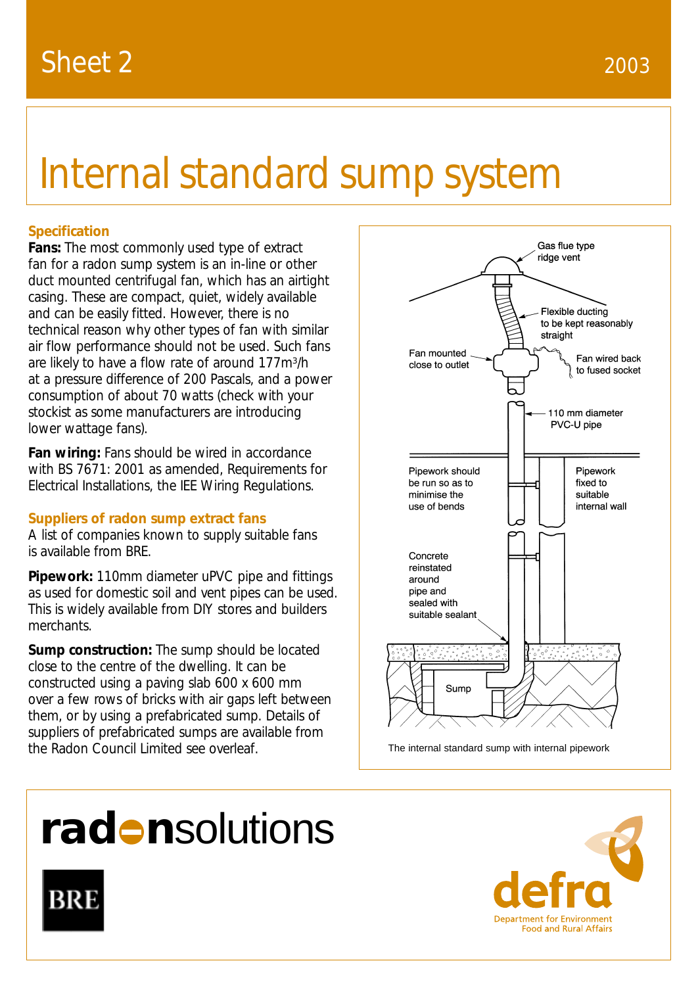# Internal standard sump system

# **Specification**

**Fans:** The most commonly used type of extract fan for a radon sump system is an in-line or other duct mounted centrifugal fan, which has an airtight casing. These are compact, quiet, widely available and can be easily fitted. However, there is no technical reason why other types of fan with similar air flow performance should not be used. Such fans are likely to have a flow rate of around 177m3/h at a pressure difference of 200 Pascals, and a power consumption of about 70 watts (check with your stockist as some manufacturers are introducing lower wattage fans).

**Fan wiring:** Fans should be wired in accordance with BS 7671: 2001 as amended, Requirements for Electrical Installations, the IEE Wiring Regulations.

## **Suppliers of radon sump extract fans**

A list of companies known to supply suitable fans is available from BRE.

**Pipework:** 110mm diameter uPVC pipe and fittings as used for domestic soil and vent pipes can be used. This is widely available from DIY stores and builders merchants.

**Sump construction:** The sump should be located close to the centre of the dwelling. It can be constructed using a paving slab 600 x 600 mm over a few rows of bricks with air gaps left between them, or by using a prefabricated sump. Details of suppliers of prefabricated sumps are available from the Radon Council Limited see overleaf.



The internal standard sump with internal pipework